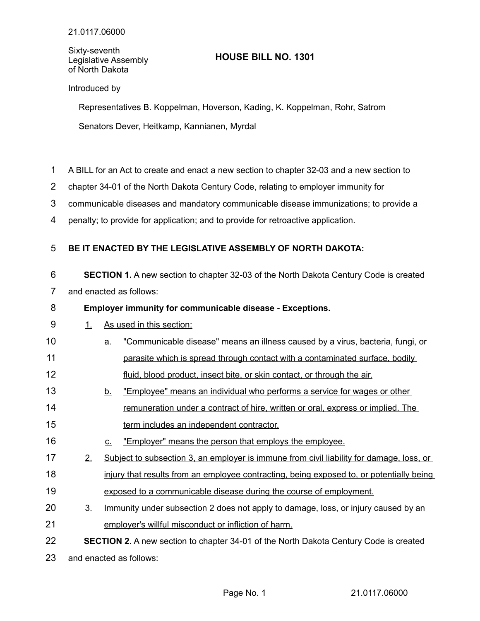Sixty-seventh Legislative Assembly of North Dakota

# **HOUSE BILL NO. 1301**

## Introduced by

Representatives B. Koppelman, Hoverson, Kading, K. Koppelman, Rohr, Satrom Senators Dever, Heitkamp, Kannianen, Myrdal

- A BILL for an Act to create and enact a new section to chapter 32-03 and a new section to 1
- chapter 34-01 of the North Dakota Century Code, relating to employer immunity for 2
- communicable diseases and mandatory communicable disease immunizations; to provide a 3
- penalty; to provide for application; and to provide for retroactive application. 4

#### **BE IT ENACTED BY THE LEGISLATIVE ASSEMBLY OF NORTH DAKOTA:** 5

**SECTION 1.** A new section to chapter 32-03 of the North Dakota Century Code is created and enacted as follows: 6 7

#### **Employer immunity for communicable disease - Exceptions.** 8

### 1. As used in this section: 9

- a. "Communicable disease" means an illness caused by a virus, bacteria, fungi, or parasite which is spread through contact with a contaminated surface, bodily fluid, blood product, insect bite, or skin contact, or through the air. 10 11 12
- b. "Employee" means an individual who performs a service for wages or other remuneration under a contract of hire, written or oral, express or implied. The term includes an independent contractor. 13 14 15
- c. "Employer" means the person that employs the employee. 16
- 2. Subject to subsection 3, an employer is immune from civil liability for damage, loss, or 17
- injury that results from an employee contracting, being exposed to, or potentially being 18
- exposed to a communicable disease during the course of employment. 19
- 3. Immunity under subsection 2 does not apply to damage, loss, or injury caused by an employer's willful misconduct or infliction of harm. 20 21

**SECTION 2.** A new section to chapter 34-01 of the North Dakota Century Code is created and enacted as follows: 22 23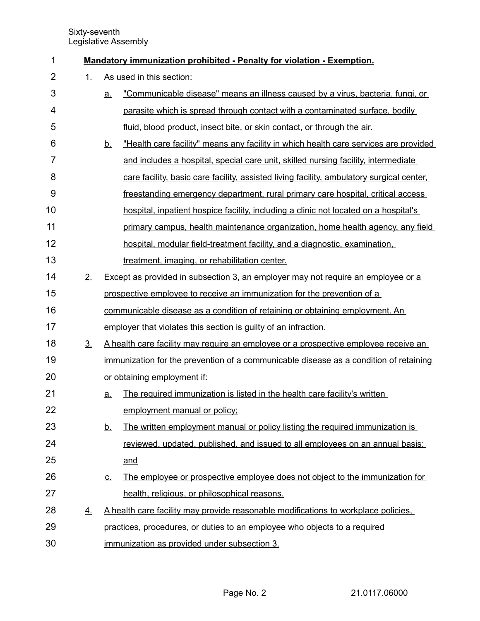Sixty-seventh Legislative Assembly

| 1              |                | Mandatory immunization prohibited - Penalty for violation - Exemption.             |                                                                                           |  |
|----------------|----------------|------------------------------------------------------------------------------------|-------------------------------------------------------------------------------------------|--|
| $\overline{2}$ | 1.             |                                                                                    | As used in this section:                                                                  |  |
| 3              |                | <u>a.</u>                                                                          | "Communicable disease" means an illness caused by a virus, bacteria, fungi, or            |  |
| 4              |                |                                                                                    | parasite which is spread through contact with a contaminated surface, bodily              |  |
| 5              |                |                                                                                    | fluid, blood product, insect bite, or skin contact, or through the air.                   |  |
| 6              |                | <u>b.</u>                                                                          | "Health care facility" means any facility in which health care services are provided      |  |
| 7              |                |                                                                                    | and includes a hospital, special care unit, skilled nursing facility, intermediate        |  |
| 8              |                |                                                                                    | care facility, basic care facility, assisted living facility, ambulatory surgical center, |  |
| 9              |                |                                                                                    | freestanding emergency department, rural primary care hospital, critical access           |  |
| 10             |                |                                                                                    | hospital, inpatient hospice facility, including a clinic not located on a hospital's      |  |
| 11             |                |                                                                                    | primary campus, health maintenance organization, home health agency, any field            |  |
| 12             |                |                                                                                    | hospital, modular field-treatment facility, and a diagnostic, examination,                |  |
| 13             |                |                                                                                    | treatment, imaging, or rehabilitation center.                                             |  |
| 14             | 2.             | Except as provided in subsection 3, an employer may not require an employee or a   |                                                                                           |  |
| 15             |                |                                                                                    | prospective employee to receive an immunization for the prevention of a                   |  |
| 16             |                |                                                                                    | communicable disease as a condition of retaining or obtaining employment. An              |  |
| 17             |                |                                                                                    | employer that violates this section is guilty of an infraction.                           |  |
| 18             | 3 <sub>1</sub> |                                                                                    | A health care facility may require an employee or a prospective employee receive an       |  |
| 19             |                |                                                                                    | immunization for the prevention of a communicable disease as a condition of retaining     |  |
| 20             |                |                                                                                    | or obtaining employment if:                                                               |  |
| 21             |                | <u>a.</u>                                                                          | The required immunization is listed in the health care facility's written                 |  |
| 22             |                |                                                                                    | employment manual or policy;                                                              |  |
| 23             |                | <u>b.</u>                                                                          | The written employment manual or policy listing the required immunization is              |  |
| 24             |                |                                                                                    | reviewed, updated, published, and issued to all employees on an annual basis;             |  |
| 25             |                |                                                                                    | and                                                                                       |  |
| 26             |                | <u>c.</u>                                                                          | The employee or prospective employee does not object to the immunization for              |  |
| 27             |                |                                                                                    | health, religious, or philosophical reasons.                                              |  |
| 28             | 4.             | A health care facility may provide reasonable modifications to workplace policies. |                                                                                           |  |
| 29             |                |                                                                                    | practices, procedures, or duties to an employee who objects to a required                 |  |
| 30             |                |                                                                                    | immunization as provided under subsection 3.                                              |  |